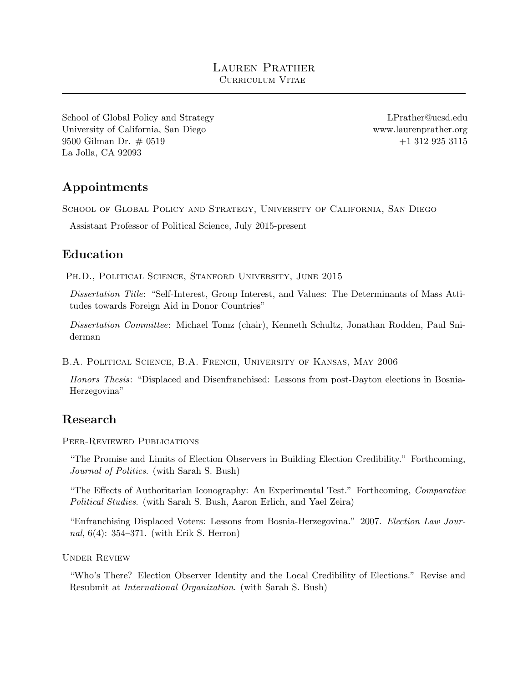[School of Global Policy and Strategy](http://gps.ucsd.edu/) [University of California, San Diego](http://ucsd.edu/) 9500 Gilman Dr. # 0519 La Jolla, CA 92093

[LPrather@ucsd.edu](mailto:LPrather@ucsd.edu) [www.laurenprather.org](http://www.laurenprather.org) +1 312 925 3115

# Appointments

School of Global Policy and Strategy, University of California, San Diego

Assistant Professor of Political Science, July 2015-present

# Education

PH.D., POLITICAL SCIENCE, STANFORD UNIVERSITY, JUNE 2015

Dissertation Title: "Self-Interest, Group Interest, and Values: The Determinants of Mass Attitudes towards Foreign Aid in Donor Countries"

Dissertation Committee: Michael Tomz (chair), Kenneth Schultz, Jonathan Rodden, Paul Sniderman

B.A. Political Science, B.A. French, University of Kansas, May 2006

Honors Thesis: "Displaced and Disenfranchised: Lessons from post-Dayton elections in Bosnia-Herzegovina"

### Research

Peer-Reviewed Publications

"The Promise and Limits of Election Observers in Building Election Credibility." Forthcoming, Journal of Politics. (with Sarah S. Bush)

"The Effects of Authoritarian Iconography: An Experimental Test." Forthcoming, Comparative Political Studies. (with Sarah S. Bush, Aaron Erlich, and Yael Zeira)

"Enfranchising Displaced Voters: Lessons from Bosnia-Herzegovina." 2007. Election Law Journal, 6(4): 354–371. (with Erik S. Herron)

Under Review

"Who's There? Election Observer Identity and the Local Credibility of Elections." Revise and Resubmit at International Organization. (with Sarah S. Bush)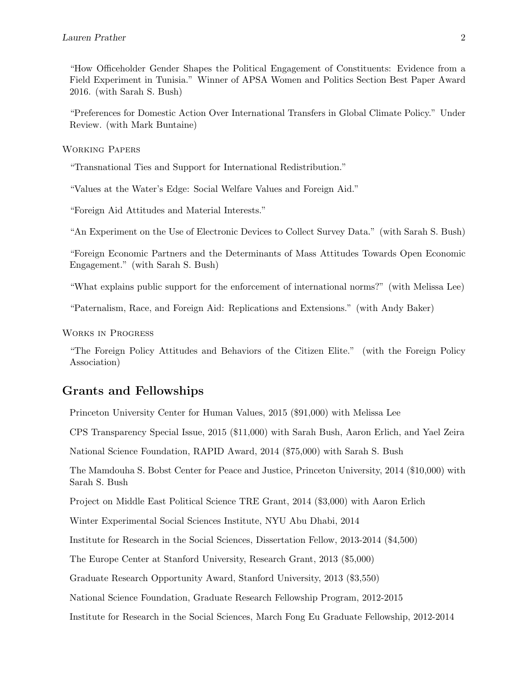"How Officeholder Gender Shapes the Political Engagement of Constituents: Evidence from a Field Experiment in Tunisia." Winner of APSA Women and Politics Section Best Paper Award 2016. (with Sarah S. Bush)

"Preferences for Domestic Action Over International Transfers in Global Climate Policy." Under Review. (with Mark Buntaine)

Working Papers

"Transnational Ties and Support for International Redistribution."

"Values at the Water's Edge: Social Welfare Values and Foreign Aid."

"Foreign Aid Attitudes and Material Interests."

"An Experiment on the Use of Electronic Devices to Collect Survey Data." (with Sarah S. Bush)

"Foreign Economic Partners and the Determinants of Mass Attitudes Towards Open Economic Engagement." (with Sarah S. Bush)

"What explains public support for the enforcement of international norms?" (with Melissa Lee)

"Paternalism, Race, and Foreign Aid: Replications and Extensions." (with Andy Baker)

Works in Progress

"The Foreign Policy Attitudes and Behaviors of the Citizen Elite." (with the Foreign Policy Association)

#### Grants and Fellowships

Princeton University Center for Human Values, 2015 (\$91,000) with Melissa Lee

CPS Transparency Special Issue, 2015 (\$11,000) with Sarah Bush, Aaron Erlich, and Yael Zeira

National Science Foundation, RAPID Award, 2014 (\$75,000) with Sarah S. Bush

The Mamdouha S. Bobst Center for Peace and Justice, Princeton University, 2014 (\$10,000) with Sarah S. Bush

Project on Middle East Political Science TRE Grant, 2014 (\$3,000) with Aaron Erlich

Winter Experimental Social Sciences Institute, NYU Abu Dhabi, 2014

Institute for Research in the Social Sciences, Dissertation Fellow, 2013-2014 (\$4,500)

The Europe Center at Stanford University, Research Grant, 2013 (\$5,000)

Graduate Research Opportunity Award, Stanford University, 2013 (\$3,550)

National Science Foundation, Graduate Research Fellowship Program, 2012-2015

Institute for Research in the Social Sciences, March Fong Eu Graduate Fellowship, 2012-2014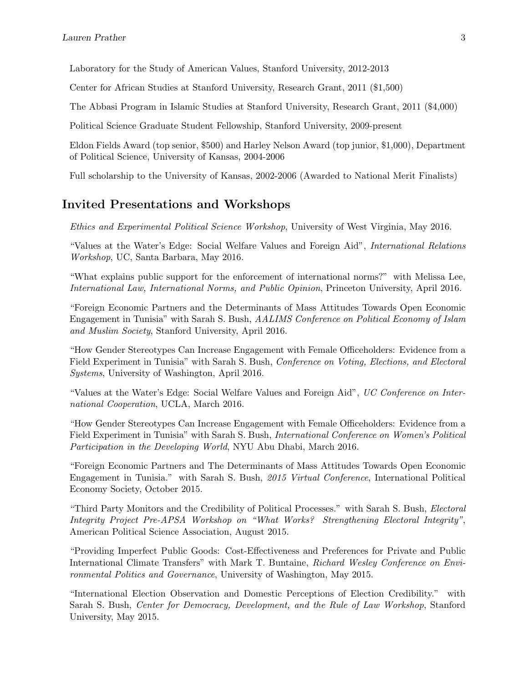Laboratory for the Study of American Values, Stanford University, 2012-2013

Center for African Studies at Stanford University, Research Grant, 2011 (\$1,500)

The Abbasi Program in Islamic Studies at Stanford University, Research Grant, 2011 (\$4,000)

Political Science Graduate Student Fellowship, Stanford University, 2009-present

Eldon Fields Award (top senior, \$500) and Harley Nelson Award (top junior, \$1,000), Department of Political Science, University of Kansas, 2004-2006

Full scholarship to the University of Kansas, 2002-2006 (Awarded to National Merit Finalists)

### Invited Presentations and Workshops

Ethics and Experimental Political Science Workshop, University of West Virginia, May 2016.

"Values at the Water's Edge: Social Welfare Values and Foreign Aid", International Relations Workshop, UC, Santa Barbara, May 2016.

"What explains public support for the enforcement of international norms?" with Melissa Lee, International Law, International Norms, and Public Opinion, Princeton University, April 2016.

"Foreign Economic Partners and the Determinants of Mass Attitudes Towards Open Economic Engagement in Tunisia" with Sarah S. Bush, AALIMS Conference on Political Economy of Islam and Muslim Society, Stanford University, April 2016.

"How Gender Stereotypes Can Increase Engagement with Female Officeholders: Evidence from a Field Experiment in Tunisia" with Sarah S. Bush, Conference on Voting, Elections, and Electoral Systems, University of Washington, April 2016.

"Values at the Water's Edge: Social Welfare Values and Foreign Aid", UC Conference on International Cooperation, UCLA, March 2016.

"How Gender Stereotypes Can Increase Engagement with Female Officeholders: Evidence from a Field Experiment in Tunisia" with Sarah S. Bush, International Conference on Women's Political Participation in the Developing World, NYU Abu Dhabi, March 2016.

"Foreign Economic Partners and The Determinants of Mass Attitudes Towards Open Economic Engagement in Tunisia." with Sarah S. Bush, 2015 Virtual Conference, International Political Economy Society, October 2015.

"Third Party Monitors and the Credibility of Political Processes." with Sarah S. Bush, Electoral Integrity Project Pre-APSA Workshop on "What Works? Strengthening Electoral Integrity", American Political Science Association, August 2015.

"Providing Imperfect Public Goods: Cost-Effectiveness and Preferences for Private and Public International Climate Transfers" with Mark T. Buntaine, Richard Wesley Conference on Environmental Politics and Governance, University of Washington, May 2015.

"International Election Observation and Domestic Perceptions of Election Credibility." with Sarah S. Bush, Center for Democracy, Development, and the Rule of Law Workshop, Stanford University, May 2015.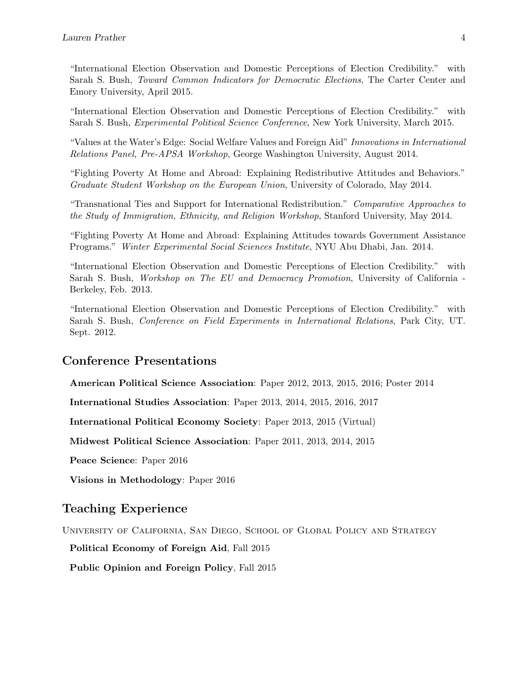"International Election Observation and Domestic Perceptions of Election Credibility." with Sarah S. Bush, Toward Common Indicators for Democratic Elections, The Carter Center and Emory University, April 2015.

"International Election Observation and Domestic Perceptions of Election Credibility." with Sarah S. Bush, Experimental Political Science Conference, New York University, March 2015.

"Values at the Water's Edge: Social Welfare Values and Foreign Aid" Innovations in International Relations Panel, Pre-APSA Workshop, George Washington University, August 2014.

"Fighting Poverty At Home and Abroad: Explaining Redistributive Attitudes and Behaviors." Graduate Student Workshop on the European Union, University of Colorado, May 2014.

"Transnational Ties and Support for International Redistribution." Comparative Approaches to the Study of Immigration, Ethnicity, and Religion Workshop, Stanford University, May 2014.

"Fighting Poverty At Home and Abroad: Explaining Attitudes towards Government Assistance Programs." Winter Experimental Social Sciences Institute, NYU Abu Dhabi, Jan. 2014.

"International Election Observation and Domestic Perceptions of Election Credibility." with Sarah S. Bush, Workshop on The EU and Democracy Promotion, University of California - Berkeley, Feb. 2013.

"International Election Observation and Domestic Perceptions of Election Credibility." with Sarah S. Bush, Conference on Field Experiments in International Relations, Park City, UT. Sept. 2012.

### Conference Presentations

American Political Science Association: Paper 2012, 2013, 2015, 2016; Poster 2014

International Studies Association: Paper 2013, 2014, 2015, 2016, 2017

International Political Economy Society: Paper 2013, 2015 (Virtual)

Midwest Political Science Association: Paper 2011, 2013, 2014, 2015

Peace Science: Paper 2016

Visions in Methodology: Paper 2016

#### Teaching Experience

University of California, San Diego, School of Global Policy and Strategy

Political Economy of Foreign Aid, Fall 2015

Public Opinion and Foreign Policy, Fall 2015